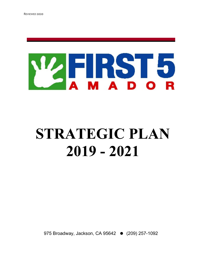

# STRATEGIC PLAN 2019 - 2021

975 Broadway, Jackson, CA 95642 • (209) 257-1092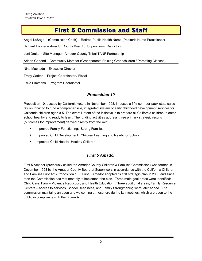# First 5 Commission and Staff

Angel LeSage – (Commission Chair) – Retired Public Health Nurse (Pediatric Nurse Practitioner).

Richard Forster – Amador County Board of Supervisors (District 2)

Joni Drake – Site Manager, Amador County Tribal TANF Partnership

Arleen Garland – Community Member (Grandparents Raising Grandchildren / Parenting Classes)

Nina Machado – Executive Director

Tracy Carlton – Project Coordinator / Fiscal

Erika Simmons – Program Coordinator

## Proposition 10

Proposition 10, passed by California voters in November 1998, imposes a fifty-cent-per-pack state sales tax on tobacco to fund a comprehensive, integrated system of early childhood development services for California children ages 0-5. The overall intent of the initiative is to prepare all California children to enter school healthy and ready to learn. The funding activities address three primary strategic results (outcomes for improvement) derived directly from the Act:

- Improved Family Functioning: Strong Families
- **Improved Child Development: Children Learning and Ready for School**
- **Improved Child Health: Healthy Children**

## First 5 Amador

First 5 Amador (previously called the Amador County Children & Families Commission) was formed in December 1998 by the Amador County Board of Supervisors in accordance with the California Children and Families First Act (Proposition 10). First 5 Amador adopted its first strategic plan in 2000 and since then the Commission has met monthly to implement the plan. Three main goal areas were identified: Child Care, Family Violence Reduction, and Health Education. Three additional areas, Family Resource Centers – access to services, School Readiness, and Family Strengthening were later added. The commission maintains an open and welcoming atmosphere during its meetings, which are open to the public in compliance with the Brown Act.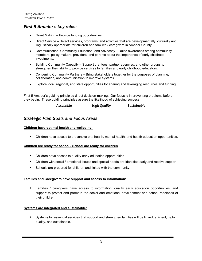## First 5 Amador's key roles:

- Grant Making Provide funding opportunities
- Direct Service Select services, programs, and activities that are developmentally, culturally and linguistically appropriate for children and families / caregivers in Amador County.
- Communication, Community Education, and Advocacy Raise awareness among community members, policy makers, providers, and parents about the importance of early childhood investments.
- Building Community Capacity Support grantees, partner agencies, and other groups to strengthen their ability to provide services to families and early childhood educators.
- Convening Community Partners Bring stakeholders together for the purposes of planning, collaboration, and communication to improve systems.
- Explore local, regional, and state opportunities for sharing and leveraging resources and funding.

First 5 Amador's guiding principles direct decision-making. Our focus is in preventing problems before they begin. These guiding principles assure the likelihood of achieving success.

Accessible **High Quality** Sustainable

## Strategic Plan Goals and Focus Areas

#### Children have optimal health and wellbeing:

Children have access to preventive oral health, mental health, and health education opportunities.

#### Children are ready for school / School are ready for children

- **EXTENUMI** Children have access to quality early education opportunities.
- Children with social / emotional issues and special needs are identified early and receive support.
- Schools are prepared for children and linked with the community.

#### Families and Caregivers have support and access to information:

 Families / caregivers have access to information, quality early education opportunities, and support to protect and promote the social and emotional development and school readiness of their children.

#### Systems are integrated and sustainable:

 Systems for essential services that support and strengthen families will be linked, efficient, highquality, and sustainable.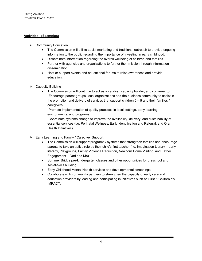#### Activities: (Examples)

- $\triangleright$  Community Education
	- The Commission will utilize social marketing and traditional outreach to provide ongoing information to the public regarding the importance of investing in early childhood.
	- Disseminate information regarding the overall wellbeing of children and families.
	- Partner with agencies and organizations to further their mission through information dissemination.
	- Host or support events and educational forums to raise awareness and provide education.
- ▶ Capacity Building
	- The Commission will continue to act as a catalyst, capacity builder, and convener to: -Encourage parent groups, local organizations and the business community to assist in the promotion and delivery of services that support children  $0 - 5$  and their families / caregivers.

-Promote implementation of quality practices in local settings, early learning environments, and programs.

-Coordinate systems change to improve the availability, delivery, and sustainability of essential services (i.e. Perinatal Wellness, Early Identification and Referral, and Oral Health Initiatives).

- Early Learning and Family / Caregiver Support
	- The Commission will support programs / systems that strengthen families and encourage parents to take an active role as their child's first teacher (i.e. Imagination Library – early literacy, Playgroups, Family Violence Reduction, Newborn Home Visiting, and Father Engagement – Dad and Me).
	- Summer Bridge pre-kindergarten classes and other opportunities for preschool and social-skills building.
	- Early Childhood Mental Health services and developmental screenings.
	- Collaborate with community partners to strengthen the capacity of early care and education providers by leading and participating in initiatives such as First 5 California's IMPACT.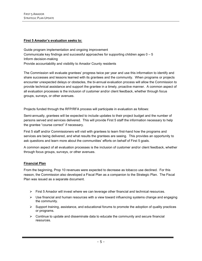#### First 5 Amador's evaluation seeks to:

Guide program implementation and ongoing improvement Communicate key findings and successful approaches for supporting children ages  $0 - 5$ Inform decision-making Provide accountability and visibility to Amador County residents

The Commission will evaluate grantees' progress twice per year and use this information to identify and share successes and lessons learned with its grantees and the community. When programs or projects encounter unexpected delays or obstacles, the bi-annual evaluation process will allow the Commission to provide technical assistance and support the grantee in a timely, proactive manner. A common aspect of all evaluation processes is the inclusion of customer and/or client feedback, whether through focus groups, surveys, or other avenues.

Projects funded through the RFP/RFA process will participate in evaluation as follows:

Semi-annually, grantees will be expected to include updates to their project budget and the number of persons served and services delivered. This will provide First 5 staff the information necessary to help the grantee "course correct" if necessary.

First 5 staff and/or Commissioners will visit with grantees to learn first-hand how the programs and services are being delivered, and what results the grantees are seeing. This provides an opportunity to ask questions and learn more about the communities' efforts on behalf of First 5 goals.

A common aspect of all evaluation processes is the inclusion of customer and/or client feedback, whether through focus groups, surveys, or other avenues.

#### Financial Plan

From the beginning, Prop 10 revenues were expected to decrease as tobacco use declined. For this reason, the Commission also developed a Fiscal Plan as a companion to the Strategic Plan. The Fiscal Plan was issued as a separate document.

- $\triangleright$  First 5 Amador will invest where we can leverage other financial and technical resources.
- $\triangleright$  Use financial and human resources with a view toward influencing systems change and engaging the community.
- $\triangleright$  Support training, assistance, and educational forums to promote the adoption of quality practices or programs.
- $\triangleright$  Continue to update and disseminate data to educate the community and secure financial resources.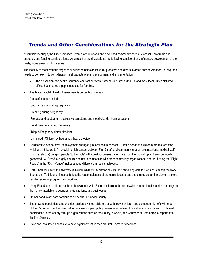# Trends and Other Considerations for the Strategic Plan

At multiple meetings, the First 5 Amador Commission reviewed and discussed community needs, successful programs and outreach, and funding considerations. As a result of the discussions, the following considerations influenced development of the goals, focus areas, and strategies.

The inability to reach various target populations remains an issue (e.g. doctors and others in areas outside Amador County), and needs to be taken into consideration in all aspects of plan development and implementation.

- The dissolution of a health insurance contract between Anthem Blue Cross MediCal and most local Sutter-affiliated offices has created a gap in services for families.
- The Maternal Child Health Assessment is currently underway.

Areas of concern include:

-Substance use during pregnancy.

-Smoking during pregnancy.

-Prenatal and postpartum depressive symptoms and mood disorder hospitalizations.

-Food insecurity during pregnancy.

-Tdap in Pregnancy (Immunization).

-Uninsured / Children without a healthcare provider.

- Collaborative efforts have led to systems changes (i.e. oral health services). First 5 needs to build on current successes, which are attributed to (1) providing high contact between First 5 staff and community groups, organizations, medical staff, councils, etc.; (2) bringing people "to the table" – the best successes have come from the ground up and are community generated; (3) First 5 is largely neutral and not in competition with other community organizations; and, (4) having the "Right People" in the "Right Venue" makes a huge difference in results achieved.
- First 5 Amador needs the ability to be flexible while still achieving results, and remaining able to staff and manage the work it takes on. To this end, it needs to test the reasonableness of the goals, focus areas and strategies, and implement a more regular review of programs and workload.
- Using First 5 as an initiator/incubator has worked well. Examples include the countywide information dissemination program that is now available to agencies, organizations, and businesses.
- Off-hour and infant care continue to be needs in Amador County.
- The growing population base of older residents without children, or with grown children and consequently no/low interest in children's issues, has the potential to negatively impact policy development related to children / family issues. Continued participation in the county through organizations such as the Rotary, Kiwanis, and Chamber of Commerce is important to the First 5 mission.
- State and local issues continue to have significant influences on First 5 Amador decisions.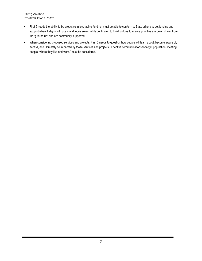- First 5 needs the ability to be proactive in leveraging funding; must be able to conform to State criteria to get funding and support when it aligns with goals and focus areas, while continuing to build bridges to ensure priorities are being driven from the "ground up" and are community supported.
- When considering proposed services and projects, First 5 needs to question how people will learn about, become aware of, access, and ultimately be impacted by those services and projects. Effective communications to target population, meeting people "where they live and work," must be considered.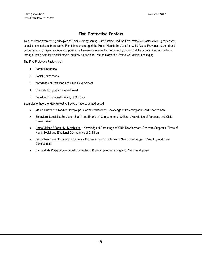# Five Protective Factors

To support the overarching principles of Family Strengthening, First 5 introduced the Five Protective Factors to our grantees to establish a consistent framework. First 5 has encouraged the Mental Health Services Act, Child Abuse Prevention Council and partner agency / organization to incorporate the framework to establish consistency throughout the county. Outreach efforts through First 5 Amador's social media, monthly e-newsletter, etc. reinforce the Protective Factors messaging.

The Five Protective Factors are:

- 1. Parent Resilience
- 2. Social Connections
- 3. Knowledge of Parenting and Child Development
- 4. Concrete Support in Times of Need
- 5. Social and Emotional Stability of Children

Examples of how the Five Protective Factors have been addressed:

- Mobile Outreach / Toddler Playgroups– Social Connections, Knowledge of Parenting and Child Development
- Behavioral Specialist Services Social and Emotional Competence of Children, Knowledge of Parenting and Child Development
- Home Visiting / Parent Kit Distribution Knowledge of Parenting and Child Development, Concrete Support in Times of Need, Social and Emotional Competence of Children
- **Family Resource / Community Centers Concrete Support in Times of Need, Knowledge of Parenting and Child** Development
- Dad and Me Playgroups Social Connections, Knowledge of Parenting and Child Development